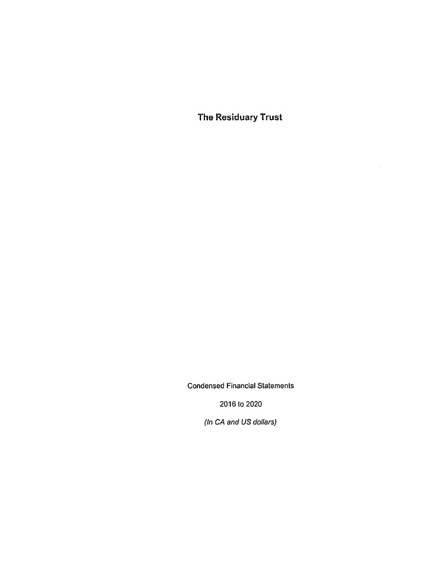The Residuary Trust

 $\mathcal{L}_{\mathbf{a}}^{\mathcal{L}}$ 

Condensed Financial Statements

2016 ta 2020

(In CA and US dollars)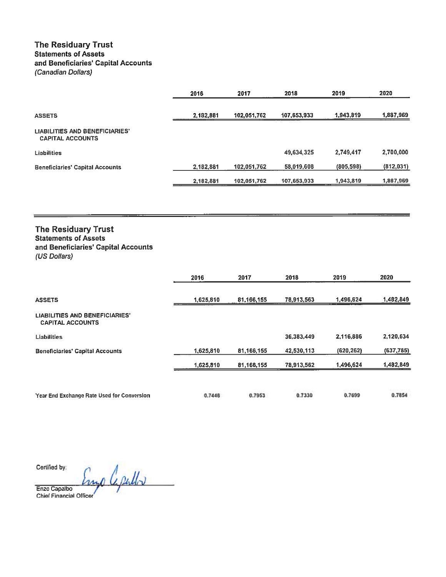## The Residuary Trust Statements of Assets and Beneficiaries' Capital Accounts (Canadian Dollars)

|                                                                  | 2016      | 2017        | 2018        | 2019       | 2020       |
|------------------------------------------------------------------|-----------|-------------|-------------|------------|------------|
| <b>ASSETS</b>                                                    | 2,182,881 | 102,051.762 | 107,653,933 | 1,943,819  | 1,887,969  |
| <b>LIABILITIES AND BENEFICIARIES'</b><br><b>CAPITAL ACCOUNTS</b> |           |             |             |            |            |
| <b>Liabilities</b>                                               |           |             | 49,634,325  | 2,749,417  | 2,700,000  |
| <b>Beneficiaries' Capital Accounts</b>                           | 2,182,881 | 102,051,762 | 58,019,608  | (805, 598) | (812, 031) |
|                                                                  | 2,182,881 | 102,051,762 | 107,653,933 | 1,943,819  | 1,867,969  |

## The Residuary Trust Statements of Assets and Beneficiaries' Capital Accounts (US Dollars)

|                                                                  | 2016      | 2017       | 2018       | 2019       | 2020       |
|------------------------------------------------------------------|-----------|------------|------------|------------|------------|
| <b>ASSETS</b>                                                    | 1,625,810 | 81,166,155 | 78,913,563 | 1,496,624  | 1,482,849  |
| <b>LIABILITIES AND BENEFICIARIES'</b><br><b>CAPITAL ACCOUNTS</b> |           |            |            |            |            |
| <b>Liabilities</b>                                               |           |            | 36,383,449 | 2,116,886  | 2,120,634  |
| <b>Beneficiaries' Capital Accounts</b>                           | 1,625,810 | 81,166,155 | 42,530,113 | (620, 262) | (637, 785) |
|                                                                  | 1,625,810 | 81,166,155 | 78,913,562 | 1,496,624  | 1,482,849  |
| Year End Exchange Rate Used for Conversion                       | 0.7448    | 0.7953     | 0.7330     | 0.7699     | 0.7854     |

Cenifled by:

Engo Capullo

Enzo Capa!bo Chiel Financial Officer